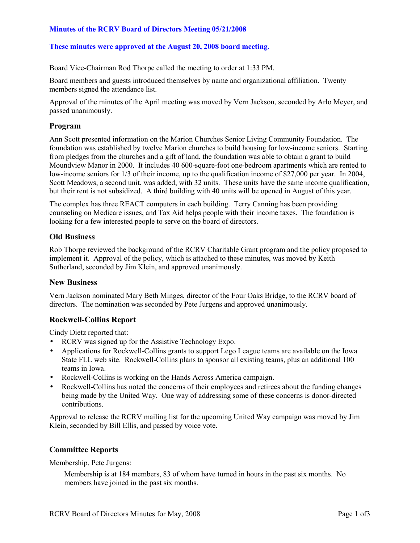# **Minutes of the RCRV Board of Directors Meeting 05/21/2008**

# **These minutes were approved at the August 20, 2008 board meeting.**

Board Vice-Chairman Rod Thorpe called the meeting to order at 1:33 PM.

Board members and guests introduced themselves by name and organizational affiliation. Twenty members signed the attendance list.

Approval of the minutes of the April meeting was moved by Vern Jackson, seconded by Arlo Meyer, and passed unanimously.

## **Program**

Ann Scott presented information on the Marion Churches Senior Living Community Foundation. The foundation was established by twelve Marion churches to build housing for low-income seniors. Starting from pledges from the churches and a gift of land, the foundation was able to obtain a grant to build Moundview Manor in 2000. It includes 40 600-square-foot one-bedroom apartments which are rented to low-income seniors for 1/3 of their income, up to the qualification income of \$27,000 per year. In 2004, Scott Meadows, a second unit, was added, with 32 units. These units have the same income qualification, but their rent is not subsidized. A third building with 40 units will be opened in August of this year.

The complex has three REACT computers in each building. Terry Canning has been providing counseling on Medicare issues, and Tax Aid helps people with their income taxes. The foundation is looking for a few interested people to serve on the board of directors.

#### **Old Business**

Rob Thorpe reviewed the background of the RCRV Charitable Grant program and the policy proposed to implement it. Approval of the policy, which is attached to these minutes, was moved by Keith Sutherland, seconded by Jim Klein, and approved unanimously.

#### **New Business**

Vern Jackson nominated Mary Beth Minges, director of the Four Oaks Bridge, to the RCRV board of directors. The nomination was seconded by Pete Jurgens and approved unanimously.

# **Rockwell-Collins Report**

Cindy Dietz reported that:

- RCRV was signed up for the Assistive Technology Expo.
- Applications for Rockwell-Collins grants to support Lego League teams are available on the Iowa State FLL web site. Rockwell-Collins plans to sponsor all existing teams, plus an additional 100 teams in Iowa.
- Rockwell-Collins is working on the Hands Across America campaign.
- Rockwell-Collins has noted the concerns of their employees and retirees about the funding changes being made by the United Way. One way of addressing some of these concerns is donor-directed contributions.

Approval to release the RCRV mailing list for the upcoming United Way campaign was moved by Jim Klein, seconded by Bill Ellis, and passed by voice vote.

# **Committee Reports**

Membership, Pete Jurgens:

Membership is at 184 members, 83 of whom have turned in hours in the past six months. No members have joined in the past six months.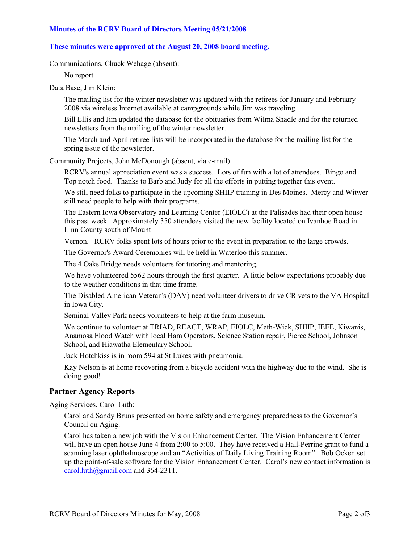## **Minutes of the RCRV Board of Directors Meeting 05/21/2008**

# **These minutes were approved at the August 20, 2008 board meeting.**

Communications, Chuck Wehage (absent):

No report.

Data Base, Jim Klein:

The mailing list for the winter newsletter was updated with the retirees for January and February 2008 via wireless Internet available at campgrounds while Jim was traveling.

Bill Ellis and Jim updated the database for the obituaries from Wilma Shadle and for the returned newsletters from the mailing of the winter newsletter.

The March and April retiree lists will be incorporated in the database for the mailing list for the spring issue of the newsletter.

Community Projects, John McDonough (absent, via e-mail):

RCRV's annual appreciation event was a success. Lots of fun with a lot of attendees. Bingo and Top notch food. Thanks to Barb and Judy for all the efforts in putting together this event.

We still need folks to participate in the upcoming SHIIP training in Des Moines. Mercy and Witwer still need people to help with their programs.

The Eastern Iowa Observatory and Learning Center (EIOLC) at the Palisades had their open house this past week. Approximately 350 attendees visited the new facility located on Ivanhoe Road in Linn County south of Mount

Vernon. RCRV folks spent lots of hours prior to the event in preparation to the large crowds.

The Governor's Award Ceremonies will be held in Waterloo this summer.

The 4 Oaks Bridge needs volunteers for tutoring and mentoring.

We have volunteered 5562 hours through the first quarter. A little below expectations probably due to the weather conditions in that time frame.

The Disabled American Veteran's (DAV) need volunteer drivers to drive CR vets to the VA Hospital in Iowa City.

Seminal Valley Park needs volunteers to help at the farm museum.

We continue to volunteer at TRIAD, REACT, WRAP, EIOLC, Meth-Wick, SHIIP, IEEE, Kiwanis, Anamosa Flood Watch with local Ham Operators, Science Station repair, Pierce School, Johnson School, and Hiawatha Elementary School.

Jack Hotchkiss is in room 594 at St Lukes with pneumonia.

Kay Nelson is at home recovering from a bicycle accident with the highway due to the wind. She is doing good!

# **Partner Agency Reports**

Aging Services, Carol Luth:

Carol and Sandy Bruns presented on home safety and emergency preparedness to the Governor's Council on Aging.

Carol has taken a new job with the Vision Enhancement Center. The Vision Enhancement Center will have an open house June 4 from 2:00 to 5:00. They have received a Hall-Perrine grant to fund a scanning laser ophthalmoscope and an "Activities of Daily Living Training Room". Bob Ocken set up the point-of-sale software for the Vision Enhancement Center. Carol's new contact information is carol.luth@gmail.com and 364-2311.